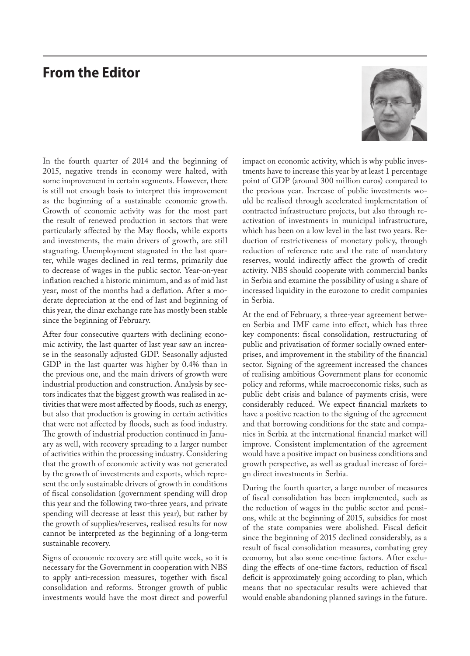## **From the Editor**



In the fourth quarter of 2014 and the beginning of 2015, negative trends in economy were halted, with some improvement in certain segments. However, there is still not enough basis to interpret this improvement as the beginning of a sustainable economic growth. Growth of economic activity was for the most part the result of renewed production in sectors that were particularly affected by the May floods, while exports and investments, the main drivers of growth, are still stagnating. Unemployment stagnated in the last quarter, while wages declined in real terms, primarily due to decrease of wages in the public sector. Year-on-year inflation reached a historic minimum, and as of mid last year, most of the months had a deflation. After a moderate depreciation at the end of last and beginning of this year, the dinar exchange rate has mostly been stable since the beginning of February.

After four consecutive quarters with declining economic activity, the last quarter of last year saw an increase in the seasonally adjusted GDP. Seasonally adjusted GDP in the last quarter was higher by 0.4% than in the previous one, and the main drivers of growth were industrial production and construction. Analysis by sectors indicates that the biggest growth was realised in activities that were most affected by floods, such as energy, but also that production is growing in certain activities that were not affected by floods, such as food industry. The growth of industrial production continued in January as well, with recovery spreading to a larger number of activities within the processing industry. Considering that the growth of economic activity was not generated by the growth of investments and exports, which represent the only sustainable drivers of growth in conditions of fiscal consolidation (government spending will drop this year and the following two-three years, and private spending will decrease at least this year), but rather by the growth of supplies/reserves, realised results for now cannot be interpreted as the beginning of a long-term sustainable recovery.

Signs of economic recovery are still quite week, so it is necessary for the Government in cooperation with NBS to apply anti-recession measures, together with fiscal consolidation and reforms. Stronger growth of public investments would have the most direct and powerful impact on economic activity, which is why public investments have to increase this year by at least 1 percentage point of GDP (around 300 million euros) compared to the previous year. Increase of public investments would be realised through accelerated implementation of contracted infrastructure projects, but also through reactivation of investments in municipal infrastructure, which has been on a low level in the last two years. Reduction of restrictiveness of monetary policy, through reduction of reference rate and the rate of mandatory reserves, would indirectly affect the growth of credit activity. NBS should cooperate with commercial banks in Serbia and examine the possibility of using a share of increased liquidity in the eurozone to credit companies in Serbia.

At the end of February, a three-year agreement between Serbia and IMF came into effect, which has three key components: fiscal consolidation, restructuring of public and privatisation of former socially owned enterprises, and improvement in the stability of the financial sector. Signing of the agreement increased the chances of realising ambitious Government plans for economic policy and reforms, while macroeconomic risks, such as public debt crisis and balance of payments crisis, were considerably reduced. We expect financial markets to have a positive reaction to the signing of the agreement and that borrowing conditions for the state and companies in Serbia at the international financial market will improve. Consistent implementation of the agreement would have a positive impact on business conditions and growth perspective, as well as gradual increase of foreign direct investments in Serbia.

During the fourth quarter, a large number of measures of fiscal consolidation has been implemented, such as the reduction of wages in the public sector and pensions, while at the beginning of 2015, subsidies for most of the state companies were abolished. Fiscal deficit since the beginning of 2015 declined considerably, as a result of fiscal consolidation measures, combating grey economy, but also some one-time factors. After excluding the effects of one-time factors, reduction of fiscal deficit is approximately going according to plan, which means that no spectacular results were achieved that would enable abandoning planned savings in the future.